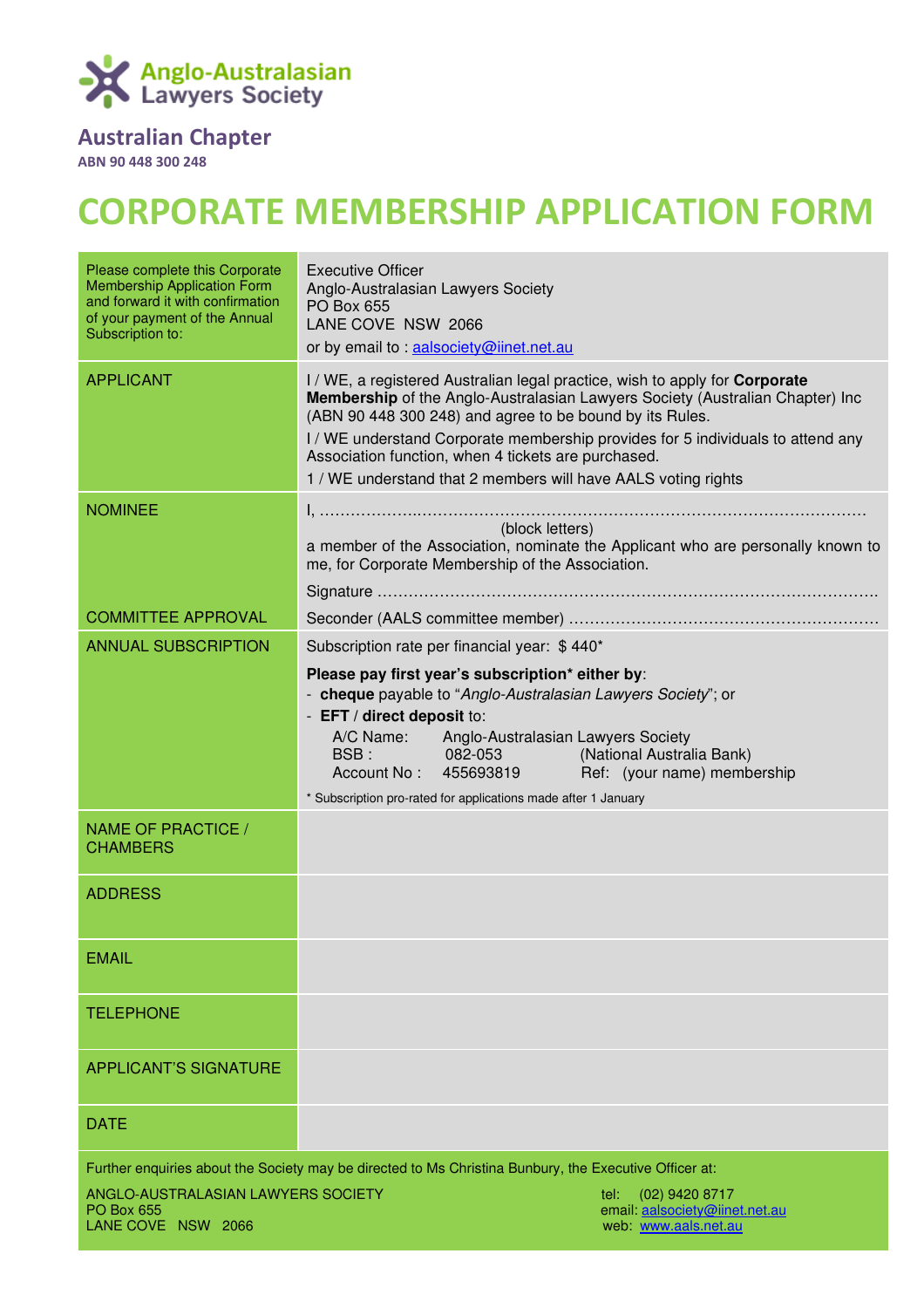

# Australian Chapter

ABN 90 448 300 248

# CORPORATE MEMBERSHIP APPLICATION FORM

| Please complete this Corporate<br><b>Membership Application Form</b><br>and forward it with confirmation<br>of your payment of the Annual<br>Subscription to: | <b>Executive Officer</b><br>Anglo-Australasian Lawyers Society<br>PO Box 655<br>LANE COVE NSW 2066<br>or by email to : aalsociety@iinet.net.au                                                                                                                                                                                                                                                                                         |
|---------------------------------------------------------------------------------------------------------------------------------------------------------------|----------------------------------------------------------------------------------------------------------------------------------------------------------------------------------------------------------------------------------------------------------------------------------------------------------------------------------------------------------------------------------------------------------------------------------------|
| <b>APPLICANT</b>                                                                                                                                              | I/WE, a registered Australian legal practice, wish to apply for <b>Corporate</b><br>Membership of the Anglo-Australasian Lawyers Society (Australian Chapter) Inc<br>(ABN 90 448 300 248) and agree to be bound by its Rules.<br>I/WE understand Corporate membership provides for 5 individuals to attend any<br>Association function, when 4 tickets are purchased.<br>1 / WE understand that 2 members will have AALS voting rights |
| <b>NOMINEE</b>                                                                                                                                                | (block letters)<br>a member of the Association, nominate the Applicant who are personally known to<br>me, for Corporate Membership of the Association.                                                                                                                                                                                                                                                                                 |
| <b>COMMITTEE APPROVAL</b>                                                                                                                                     |                                                                                                                                                                                                                                                                                                                                                                                                                                        |
| <b>ANNUAL SUBSCRIPTION</b>                                                                                                                                    | Subscription rate per financial year: \$440*                                                                                                                                                                                                                                                                                                                                                                                           |
|                                                                                                                                                               | Please pay first year's subscription* either by:<br>- cheque payable to "Anglo-Australasian Lawyers Society"; or<br>- EFT / direct deposit to:<br>A/C Name: Anglo-Australasian Lawyers Society<br>BSB: 082-053 (National Australia Bank)<br>Account No: 455693819 Ref: (your name) membership<br>* Subscription pro-rated for applications made after 1 January                                                                        |
| NAME OF PRACTICE /<br><b>CHAMBERS</b>                                                                                                                         |                                                                                                                                                                                                                                                                                                                                                                                                                                        |
| <b>ADDRESS</b>                                                                                                                                                |                                                                                                                                                                                                                                                                                                                                                                                                                                        |
| <b>EMAIL</b>                                                                                                                                                  |                                                                                                                                                                                                                                                                                                                                                                                                                                        |
| <b>TELEPHONE</b>                                                                                                                                              |                                                                                                                                                                                                                                                                                                                                                                                                                                        |
| <b>APPLICANT'S SIGNATURE</b>                                                                                                                                  |                                                                                                                                                                                                                                                                                                                                                                                                                                        |
| <b>DATE</b>                                                                                                                                                   |                                                                                                                                                                                                                                                                                                                                                                                                                                        |
| Further enquiries about the Society may be directed to Ms Christina Bunbury, the Executive Officer at:                                                        |                                                                                                                                                                                                                                                                                                                                                                                                                                        |
| ANGLO-AUSTRALASIAN LAWYERS SOCIETY<br><b>PO Box 655</b><br>LANE COVE NSW 2066                                                                                 | tel:<br>$(02)$ 9420 8717<br>email aalsociety@iinet.net.au<br>web: www.aals.net.au                                                                                                                                                                                                                                                                                                                                                      |